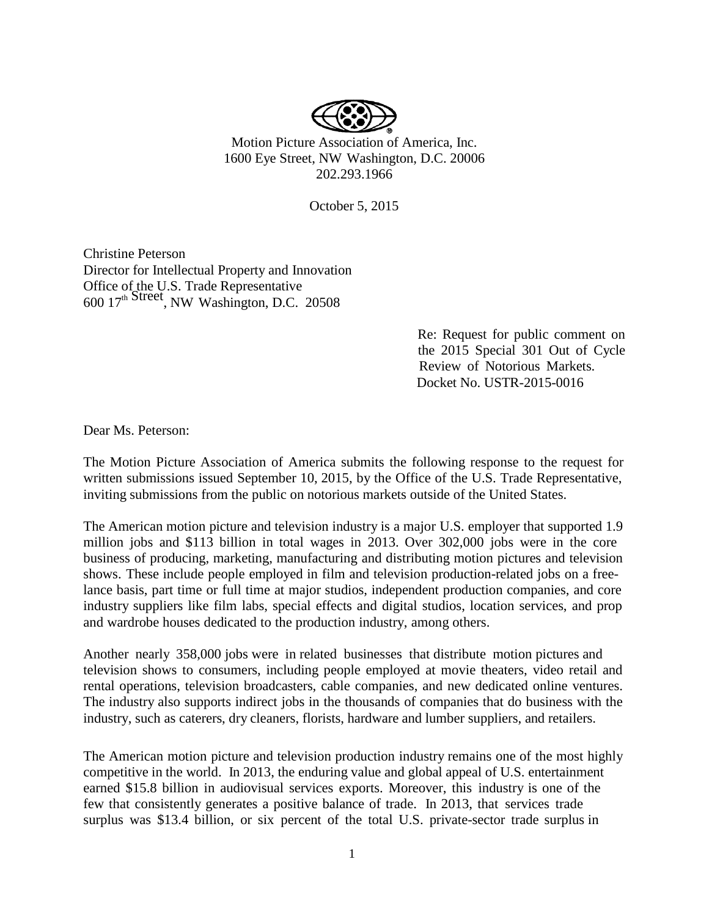

Motion Picture Association of America, Inc. 1600 Eye Street, NW Washington, D.C. 20006 202.293.1966

October 5, 2015

Christine Peterson Director for Intellectual Property and Innovation Office of the U.S. Trade Representative  $600\,17<sup>th</sup>$  Street<sub>,</sub> NW Washington, D.C. 20508

> Re: Request for public comment on the 2015 Special 301 Out of Cycle Review of Notorious Markets. Docket No. USTR-2015-0016

Dear Ms. Peterson:

The Motion Picture Association of America submits the following response to the request for written submissions issued September 10, 2015, by the Office of the U.S. Trade Representative, inviting submissions from the public on notorious markets outside of the United States.

The American motion picture and television industry is a major U.S. employer that supported 1.9 million jobs and \$113 billion in total wages in 2013. Over 302,000 jobs were in the core business of producing, marketing, manufacturing and distributing motion pictures and television shows. These include people employed in film and television production-related jobs on a freelance basis, part time or full time at major studios, independent production companies, and core industry suppliers like film labs, special effects and digital studios, location services, and prop and wardrobe houses dedicated to the production industry, among others.

Another nearly 358,000 jobs were in related businesses that distribute motion pictures and television shows to consumers, including people employed at movie theaters, video retail and rental operations, television broadcasters, cable companies, and new dedicated online ventures. The industry also supports indirect jobs in the thousands of companies that do business with the industry, such as caterers, dry cleaners, florists, hardware and lumber suppliers, and retailers.

The American motion picture and television production industry remains one of the most highly competitive in the world. In 2013, the enduring value and global appeal of U.S. entertainment earned \$15.8 billion in audiovisual services exports. Moreover, this industry is one of the few that consistently generates a positive balance of trade. In 2013, that services trade surplus was \$13.4 billion, or six percent of the total U.S. private-sector trade surplus in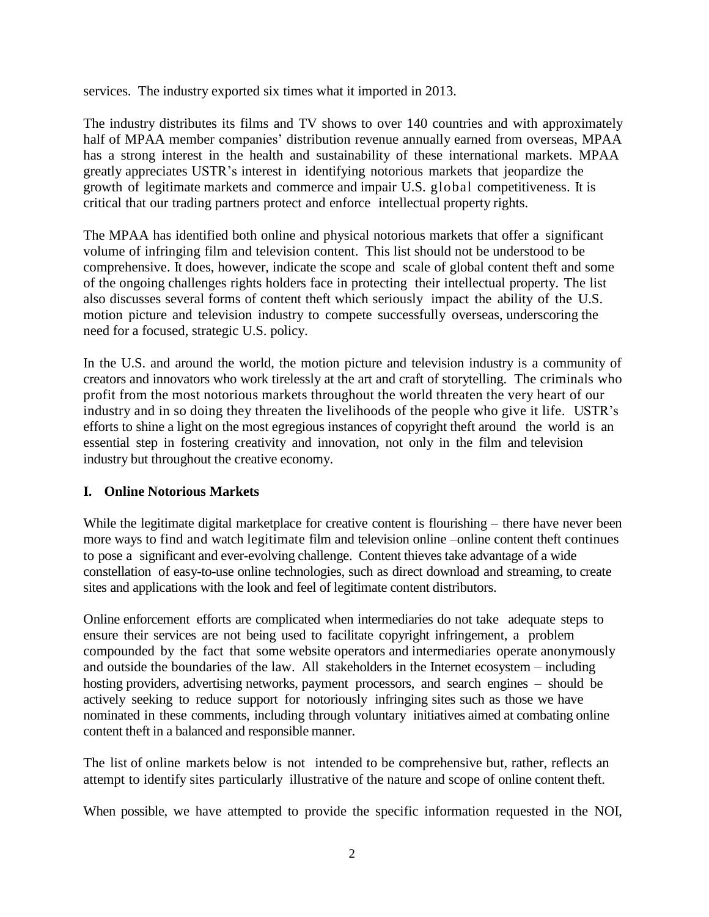services. The industry exported six times what it imported in 2013.

The industry distributes its films and TV shows to over 140 countries and with approximately half of MPAA member companies' distribution revenue annually earned from overseas, MPAA has a strong interest in the health and sustainability of these international markets. MPAA greatly appreciates USTR's interest in identifying notorious markets that jeopardize the growth of legitimate markets and commerce and impair U.S. global competitiveness. It is critical that our trading partners protect and enforce intellectual property rights.

The MPAA has identified both online and physical notorious markets that offer a significant volume of infringing film and television content. This list should not be understood to be comprehensive. It does, however, indicate the scope and scale of global content theft and some of the ongoing challenges rights holders face in protecting their intellectual property. The list also discusses several forms of content theft which seriously impact the ability of the U.S. motion picture and television industry to compete successfully overseas, underscoring the need for a focused, strategic U.S. policy.

In the U.S. and around the world, the motion picture and television industry is a community of creators and innovators who work tirelessly at the art and craft of storytelling. The criminals who profit from the most notorious markets throughout the world threaten the very heart of our industry and in so doing they threaten the livelihoods of the people who give it life. USTR's efforts to shine a light on the most egregious instances of copyright theft around the world is an essential step in fostering creativity and innovation, not only in the film and television industry but throughout the creative economy.

## **I. Online Notorious Markets**

While the legitimate digital marketplace for creative content is flourishing – there have never been more ways to find and watch legitimate film and television online –online content theft continues to pose a significant and ever-evolving challenge. Content thieves take advantage of a wide constellation of easy-to-use online technologies, such as direct download and streaming, to create sites and applications with the look and feel of legitimate content distributors.

Online enforcement efforts are complicated when intermediaries do not take adequate steps to ensure their services are not being used to facilitate copyright infringement, a problem compounded by the fact that some website operators and intermediaries operate anonymously and outside the boundaries of the law. All stakeholders in the Internet ecosystem – including hosting providers, advertising networks, payment processors, and search engines – should be actively seeking to reduce support for notoriously infringing sites such as those we have nominated in these comments, including through voluntary initiatives aimed at combating online content theft in a balanced and responsible manner.

The list of online markets below is not intended to be comprehensive but, rather, reflects an attempt to identify sites particularly illustrative of the nature and scope of online content theft.

When possible, we have attempted to provide the specific information requested in the NOI,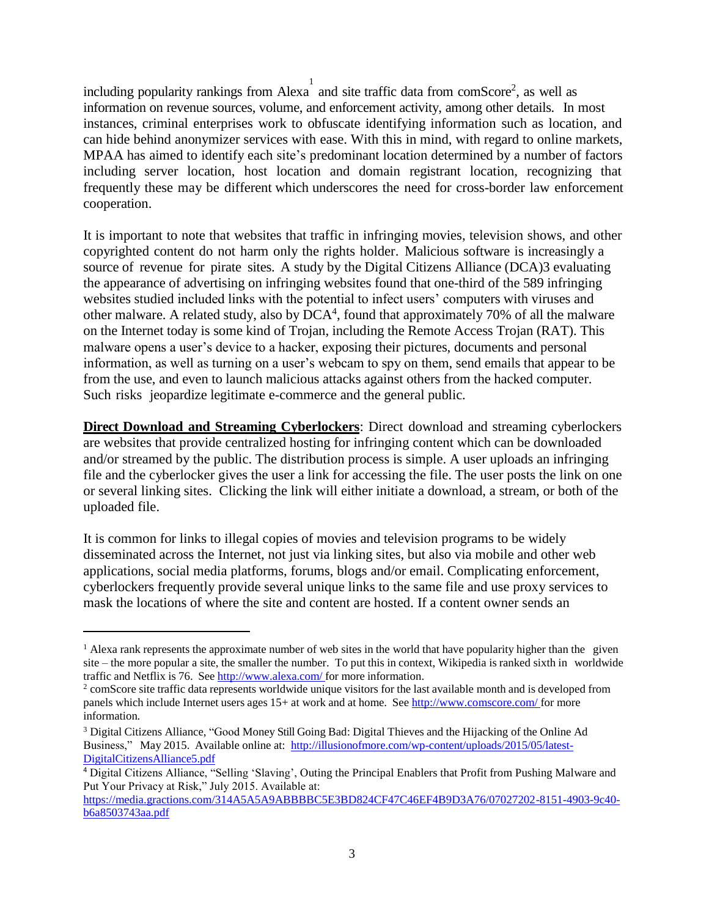including popularity rankings from Alexa and site traffic data from comScore<sup>2</sup>, as well as information on revenue sources, volume, and enforcement activity, among other details. In most instances, criminal enterprises work to obfuscate identifying information such as location, and can hide behind anonymizer services with ease. With this in mind, with regard to online markets, MPAA has aimed to identify each site's predominant location determined by a number of factors including server location, host location and domain registrant location, recognizing that frequently these may be different which underscores the need for cross-border law enforcement cooperation.

1

It is important to note that websites that traffic in infringing movies, television shows, and other copyrighted content do not harm only the rights holder. Malicious software is increasingly a source of revenue for pirate sites. A study by the Digital Citizens Alliance (DCA)3 evaluating the appearance of advertising on infringing websites found that one-third of the 589 infringing websites studied included links with the potential to infect users' computers with viruses and other malware. A related study, also by  $DCA<sup>4</sup>$ , found that approximately 70% of all the malware on the Internet today is some kind of Trojan, including the Remote Access Trojan (RAT). This malware opens a user's device to a hacker, exposing their pictures, documents and personal information, as well as turning on a user's webcam to spy on them, send emails that appear to be from the use, and even to launch malicious attacks against others from the hacked computer. Such risks jeopardize legitimate e-commerce and the general public.

**Direct Download and Streaming Cyberlockers**: Direct download and streaming cyberlockers are websites that provide centralized hosting for infringing content which can be downloaded and/or streamed by the public. The distribution process is simple. A user uploads an infringing file and the cyberlocker gives the user a link for accessing the file. The user posts the link on one or several linking sites. Clicking the link will either initiate a download, a stream, or both of the uploaded file.

It is common for links to illegal copies of movies and television programs to be widely disseminated across the Internet, not just via linking sites, but also via mobile and other web applications, social media platforms, forums, blogs and/or email. Complicating enforcement, cyberlockers frequently provide several unique links to the same file and use proxy services to mask the locations of where the site and content are hosted. If a content owner sends an

 $\overline{a}$ 

 $<sup>1</sup>$  Alexa rank represents the approximate number of web sites in the world that have popularity higher than the given</sup> site – the more popular a site, the smaller the number. To put this in context, Wikipedia is ranked sixth in worldwide traffic and Netflix is 76. See <http://www.alexa.com/> for more information.

<sup>&</sup>lt;sup>2</sup> comScore site traffic data represents worldwide unique visitors for the last available month and is developed from panels which include Internet users ages 15+ at work and at home. See <http://www.comscore.com/> for more information.

<sup>3</sup> Digital Citizens Alliance, "Good Money Still Going Bad: Digital Thieves and the Hijacking of the Online Ad Business," May 2015. Available online at: [http://illusionofmore.com/wp-content/uploads/2015/05/latest-](http://illusionofmore.com/wp-content/uploads/2015/05/latest-DigitalCitizensAlliance5.pdf)[DigitalCitizensAlliance5.pdf](http://illusionofmore.com/wp-content/uploads/2015/05/latest-DigitalCitizensAlliance5.pdf)

<sup>4</sup> Digital Citizens Alliance, "Selling 'Slaving', Outing the Principal Enablers that Profit from Pushing Malware and Put Your Privacy at Risk," July 2015. Available at:

[https://media.gractions.com/314A5A5A9ABBBBC5E3BD824CF47C46EF4B9D3A76/07027202-8151-4903-9c40](https://media.gractions.com/314A5A5A9ABBBBC5E3BD824CF47C46EF4B9D3A76/07027202-8151-4903-9c40-b6a8503743aa.pdf) [b6a8503743aa.pdf](https://media.gractions.com/314A5A5A9ABBBBC5E3BD824CF47C46EF4B9D3A76/07027202-8151-4903-9c40-b6a8503743aa.pdf)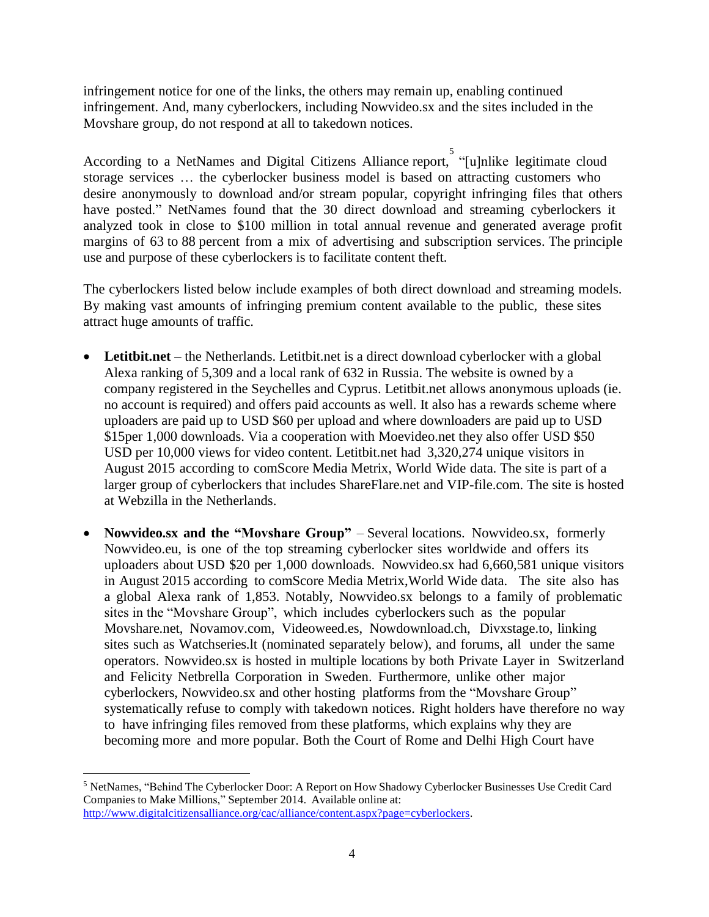infringement notice for one of the links, the others may remain up, enabling continued infringement. And, many cyberlockers, including Nowvideo.sx and the sites included in the Movshare group, do not respond at all to takedown notices.

According to a NetNames and Digital Citizens Alliance report, "[u]nlike legitimate cloud storage services … the cyberlocker business model is based on attracting customers who desire anonymously to download and/or stream popular, copyright infringing files that others have posted." NetNames found that the 30 direct download and streaming cyberlockers it analyzed took in close to \$100 million in total annual revenue and generated average profit margins of 63 to 88 percent from a mix of advertising and subscription services. The principle use and purpose of these cyberlockers is to facilitate content theft.

The cyberlockers listed below include examples of both direct download and streaming models. By making vast amounts of infringing premium content available to the public, these sites attract huge amounts of traffic.

- **Letitbit.net** the Netherlands. Letitbit.net is a direct download cyberlocker with a global Alexa ranking of 5,309 and a local rank of 632 in Russia. The website is owned by a company registered in the Seychelles and Cyprus. Letitbit.net allows anonymous uploads (ie. no account is required) and offers paid accounts as well. It also has a rewards scheme where uploaders are paid up to USD \$60 per upload and where downloaders are paid up to USD \$15per 1,000 downloads. Via a cooperation with Moevideo.net they also offer USD \$50 USD per 10,000 views for video content. Letitbit.net had 3,320,274 unique visitors in August 2015 according to comScore Media Metrix, World Wide data. The site is part of a larger group of cyberlockers that includes ShareFlare.net and VIP-file.com. The site is hosted at Webzilla in the Netherlands.
- **Nowvideo.sx and the "Movshare Group"** Several locations. Nowvideo.sx, formerly Nowvideo.eu, is one of the top streaming cyberlocker sites worldwide and offers its uploaders about USD \$20 per 1,000 downloads. Nowvideo.sx had 6,660,581 unique visitors in August 2015 according to comScore Media Metrix,World Wide data. The site also has a global Alexa rank of 1,853. Notably, Nowvideo.sx belongs to a family of problematic sites in the "Movshare Group", which includes cyberlockers such as the popular Movshare.net, Novamov.com, Videoweed.es, Nowdownload.ch, Divxstage.to, linking sites such as Watchseries.lt (nominated separately below), and forums, all under the same operators. Nowvideo.sx is hosted in multiple locations by both Private Layer in Switzerland and Felicity Netbrella Corporation in Sweden. Furthermore, unlike other major cyberlockers, Nowvideo.sx and other hosting platforms from the "Movshare Group" systematically refuse to comply with takedown notices. Right holders have therefore no way to have infringing files removed from these platforms, which explains why they are becoming more and more popular. Both the Court of Rome and Delhi High Court have

 $\overline{a}$ 

<sup>5</sup> NetNames, "Behind The Cyberlocker Door: A Report on How Shadowy Cyberlocker Businesses Use Credit Card Companies to Make Millions," September 2014. Available online at: [http://www.digitalcitizensalliance.org/cac/alliance/content.aspx?page=cyberlockers.](http://www.digitalcitizensalliance.org/cac/alliance/content.aspx?page=cyberlockers)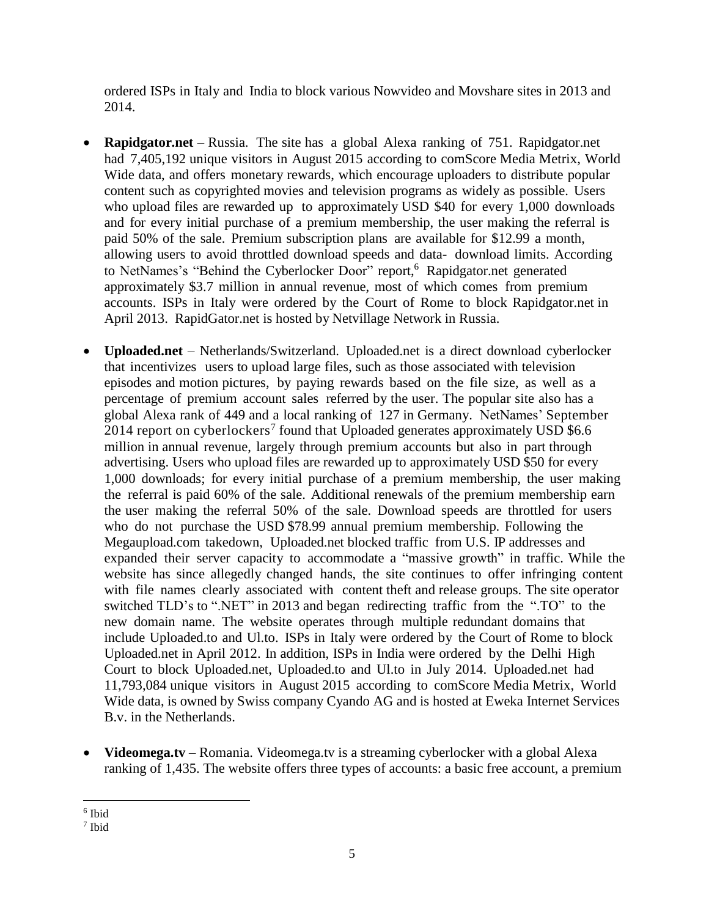ordered ISPs in Italy and India to block various Nowvideo and Movshare sites in 2013 and 2014.

- **Rapidgator.net** Russia. The site has a global Alexa ranking of 751. Rapidgator.net had 7,405,192 unique visitors in August 2015 according to comScore Media Metrix, World Wide data, and offers monetary rewards, which encourage uploaders to distribute popular content such as copyrighted movies and television programs as widely as possible. Users who upload files are rewarded up to approximately USD \$40 for every 1,000 downloads and for every initial purchase of a premium membership, the user making the referral is paid 50% of the sale. Premium subscription plans are available for \$12.99 a month, allowing users to avoid throttled download speeds and data- download limits. According to NetNames's "Behind the Cyberlocker Door" report,<sup>6</sup> Rapidgator.net generated approximately \$3.7 million in annual revenue, most of which comes from premium accounts. ISPs in Italy were ordered by the Court of Rome to block Rapidgator.net in April 2013. RapidGator.net is hosted by Netvillage Network in Russia.
- **Uploaded.net** Netherlands/Switzerland. Uploaded.net is a direct download cyberlocker that incentivizes users to upload large files, such as those associated with television episodes and motion pictures, by paying rewards based on the file size, as well as a percentage of premium account sales referred by the user. The popular site also has a global Alexa rank of 449 and a local ranking of 127 in Germany. NetNames' September 2014 report on cyberlockers<sup>7</sup> found that Uploaded generates approximately USD \$6.6 million in annual revenue, largely through premium accounts but also in part through advertising. Users who upload files are rewarded up to approximately USD \$50 for every 1,000 downloads; for every initial purchase of a premium membership, the user making the referral is paid 60% of the sale. Additional renewals of the premium membership earn the user making the referral 50% of the sale. Download speeds are throttled for users who do not purchase the USD \$78.99 annual premium membership. Following the Megaupload.com takedown, Uploaded.net blocked traffic from U.S. IP addresses and expanded their server capacity to accommodate a "massive growth" in traffic. While the website has since allegedly changed hands, the site continues to offer infringing content with file names clearly associated with content theft and release groups. The site operator switched TLD's to ".NET" in 2013 and began redirecting traffic from the ".TO" to the new domain name. The website operates through multiple redundant domains that include Uploaded.to and Ul.to. ISPs in Italy were ordered by the Court of Rome to block Uploaded.net in April 2012. In addition, ISPs in India were ordered by the Delhi High Court to block Uploaded.net, Uploaded.to and Ul.to in July 2014. Uploaded.net had 11,793,084 unique visitors in August 2015 according to comScore Media Metrix, World Wide data, is owned by Swiss company Cyando AG and is hosted at Eweka Internet Services B.v. in the Netherlands.
- **Videomega.tv** Romania. Videomega.tv is a streaming cyberlocker with a global Alexa ranking of 1,435. The website offers three types of accounts: a basic free account, a premium

 $\overline{\phantom{a}}$ 6 Ibid

<sup>7</sup> Ibid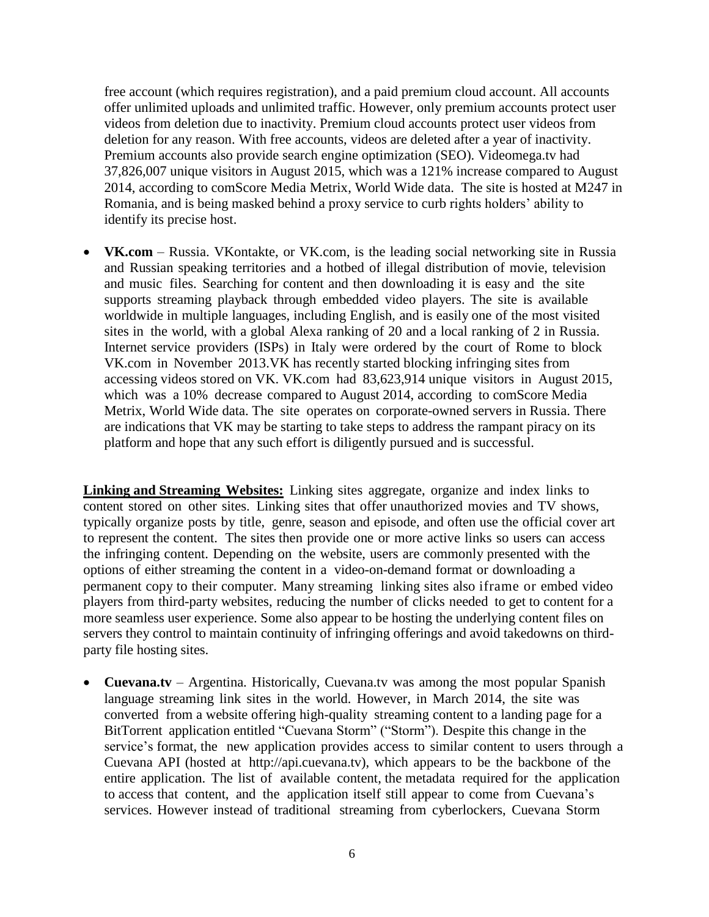free account (which requires registration), and a paid premium cloud account. All accounts offer unlimited uploads and unlimited traffic. However, only premium accounts protect user videos from deletion due to inactivity. Premium cloud accounts protect user videos from deletion for any reason. With free accounts, videos are deleted after a year of inactivity. Premium accounts also provide search engine optimization (SEO). Videomega.tv had 37,826,007 unique visitors in August 2015, which was a 121% increase compared to August 2014, according to comScore Media Metrix, World Wide data. The site is hosted at M247 in Romania, and is being masked behind a proxy service to curb rights holders' ability to identify its precise host.

 **VK.com** – Russia. VKontakte, or VK.com, is the leading social networking site in Russia and Russian speaking territories and a hotbed of illegal distribution of movie, television and music files. Searching for content and then downloading it is easy and the site supports streaming playback through embedded video players. The site is available worldwide in multiple languages, including English, and is easily one of the most visited sites in the world, with a global Alexa ranking of 20 and a local ranking of 2 in Russia. Internet service providers (ISPs) in Italy were ordered by the court of Rome to block VK.com in November 2013.VK has recently started blocking infringing sites from accessing videos stored on VK. VK.com had 83,623,914 unique visitors in August 2015, which was a 10% decrease compared to August 2014, according to comScore Media Metrix, World Wide data. The site operates on corporate-owned servers in Russia. There are indications that VK may be starting to take steps to address the rampant piracy on its platform and hope that any such effort is diligently pursued and is successful.

**Linking and Streaming Websites:** Linking sites aggregate, organize and index links to content stored on other sites. Linking sites that offer unauthorized movies and TV shows, typically organize posts by title, genre, season and episode, and often use the official cover art to represent the content. The sites then provide one or more active links so users can access the infringing content. Depending on the website, users are commonly presented with the options of either streaming the content in a video-on-demand format or downloading a permanent copy to their computer. Many streaming linking sites also iframe or embed video players from third-party websites, reducing the number of clicks needed to get to content for a more seamless user experience. Some also appear to be hosting the underlying content files on servers they control to maintain continuity of infringing offerings and avoid takedowns on thirdparty file hosting sites.

• **Cuevana.tv** – Argentina. Historically, Cuevana.tv was among the most popular Spanish language streaming link sites in the world. However, in March 2014, the site was converted from a website offering high-quality streaming content to a landing page for a BitTorrent application entitled "Cuevana Storm" ("Storm"). Despite this change in the service's format, the new application provides access to similar content to users through a Cuevana API (hosted at [http://api.cuevana.tv\)](https://owa.films.org/owa/redir.aspx?C=UE4vyaQ-YkC9UgBd0D11ImharIqDwdEI8Br3QlarDA2Gggj-duasTRmbnhRkzcG2-58sqnXc60Q.&URL=http%3a%2f%2fapi.cuevana.tv), which appears to be the backbone of the entire application. The list of available content, the metadata required for the application to access that content, and the application itself still appear to come from Cuevana's services. However instead of traditional streaming from cyberlockers, Cuevana Storm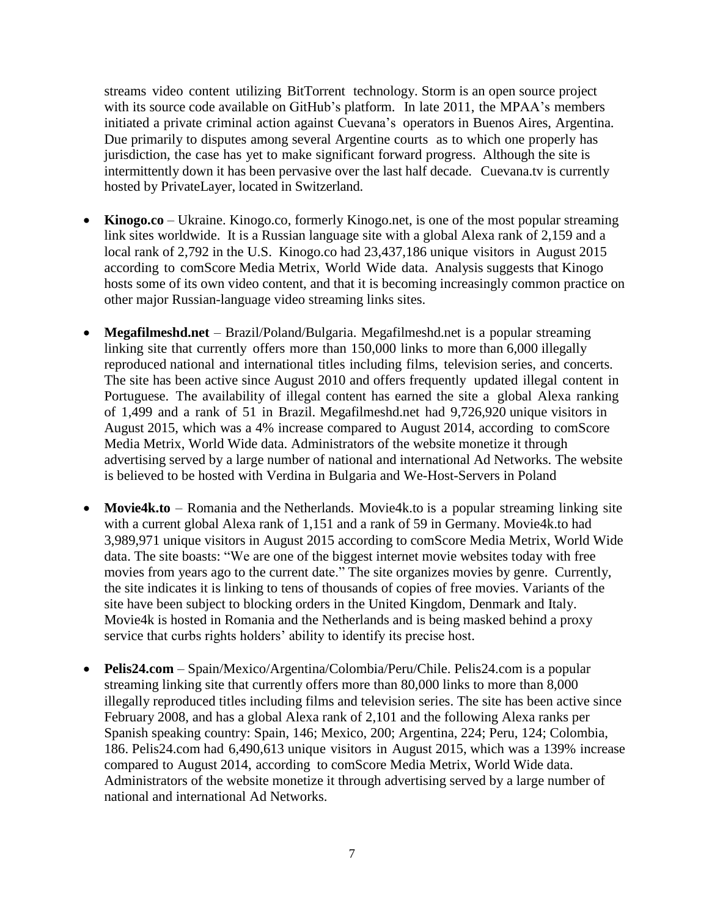streams video content utilizing BitTorrent technology. Storm is an open source project with its source code available on GitHub's platform. In late 2011, the MPAA's members initiated a private criminal action against Cuevana's operators in Buenos Aires, Argentina. Due primarily to disputes among several Argentine courts as to which one properly has jurisdiction, the case has yet to make significant forward progress. Although the site is intermittently down it has been pervasive over the last half decade. Cuevana.tv is currently hosted by PrivateLayer, located in Switzerland.

- **Kinogo.co** Ukraine. Kinogo.co, formerly Kinogo.net, is one of the most popular streaming link sites worldwide. It is a Russian language site with a global Alexa rank of 2,159 and a local rank of 2,792 in the U.S. Kinogo.co had 23,437,186 unique visitors in August 2015 according to comScore Media Metrix, World Wide data. Analysis suggests that Kinogo hosts some of its own video content, and that it is becoming increasingly common practice on other major Russian-language video streaming links sites.
- **Megafilmeshd.net** Brazil/Poland/Bulgaria. Megafilmeshd.net is a popular streaming linking site that currently offers more than 150,000 links to more than 6,000 illegally reproduced national and international titles including films, television series, and concerts. The site has been active since August 2010 and offers frequently updated illegal content in Portuguese. The availability of illegal content has earned the site a global Alexa ranking of 1,499 and a rank of 51 in Brazil. Megafilmeshd.net had 9,726,920 unique visitors in August 2015, which was a 4% increase compared to August 2014, according to comScore Media Metrix, World Wide data. Administrators of the website monetize it through advertising served by a large number of national and international Ad Networks. The website is believed to be hosted with Verdina in Bulgaria and We-Host-Servers in Poland
- **Movie4k.to** Romania and the Netherlands. Movie4k.to is a popular streaming linking site with a current global Alexa rank of 1,151 and a rank of 59 in Germany. Movie4k.to had 3,989,971 unique visitors in August 2015 according to comScore Media Metrix, World Wide data. The site boasts: "We are one of the biggest internet movie websites today with free movies from years ago to the current date." The site organizes movies by genre. Currently, the site indicates it is linking to tens of thousands of copies of free movies. Variants of the site have been subject to blocking orders in the United Kingdom, Denmark and Italy. Movie4k is hosted in Romania and the Netherlands and is being masked behind a proxy service that curbs rights holders' ability to identify its precise host.
- **Pelis24.com** Spain/Mexico/Argentina/Colombia/Peru/Chile. Pelis24.com is a popular streaming linking site that currently offers more than 80,000 links to more than 8,000 illegally reproduced titles including films and television series. The site has been active since February 2008, and has a global Alexa rank of 2,101 and the following Alexa ranks per Spanish speaking country: Spain, 146; Mexico, 200; Argentina, 224; Peru, 124; Colombia, 186. Pelis24.com had 6,490,613 unique visitors in August 2015, which was a 139% increase compared to August 2014, according to comScore Media Metrix, World Wide data. Administrators of the website monetize it through advertising served by a large number of national and international Ad Networks.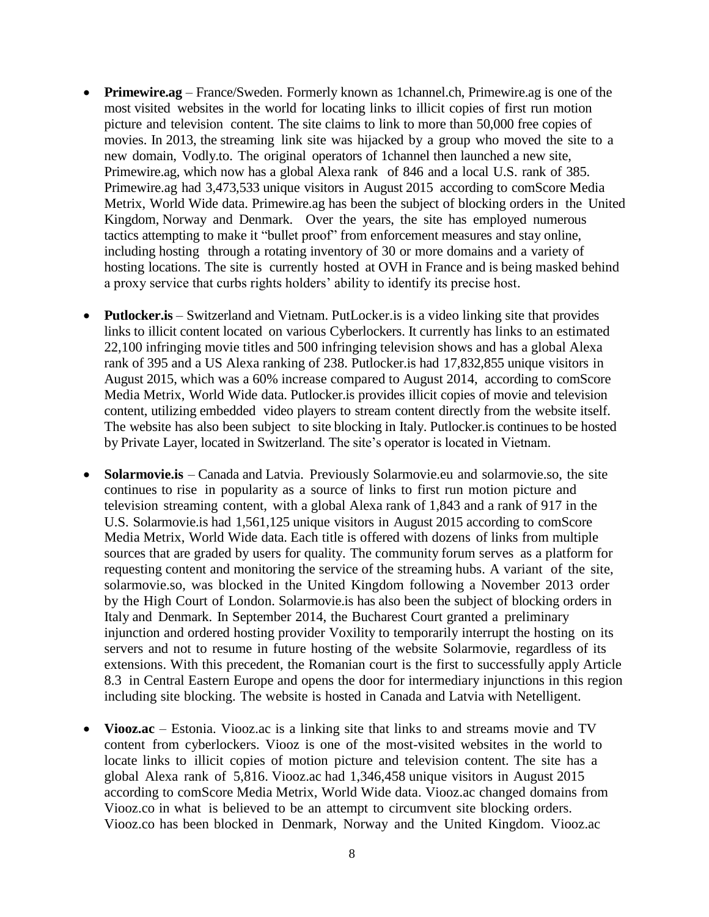- **Primewire.ag** France/Sweden. Formerly known as 1channel.ch, Primewire.ag is one of the most visited websites in the world for locating links to illicit copies of first run motion picture and television content. The site claims to link to more than 50,000 free copies of movies. In 2013, the streaming link site was hijacked by a group who moved the site to a new domain, Vodly.to. The original operators of 1channel then launched a new site, Primewire.ag, which now has a global Alexa rank of 846 and a local U.S. rank of 385. Primewire.ag had 3,473,533 unique visitors in August 2015 according to comScore Media Metrix, World Wide data. Primewire.ag has been the subject of blocking orders in the United Kingdom, Norway and Denmark. Over the years, the site has employed numerous tactics attempting to make it "bullet proof" from enforcement measures and stay online, including hosting through a rotating inventory of 30 or more domains and a variety of hosting locations. The site is currently hosted at OVH in France and is being masked behind a proxy service that curbs rights holders' ability to identify its precise host.
- **Putlocker.is** Switzerland and Vietnam. PutLocker.is is a video linking site that provides links to illicit content located on various Cyberlockers. It currently has links to an estimated 22,100 infringing movie titles and 500 infringing television shows and has a global Alexa rank of 395 and a US Alexa ranking of 238. Putlocker.is had 17,832,855 unique visitors in August 2015, which was a 60% increase compared to August 2014, according to comScore Media Metrix, World Wide data. Putlocker.is provides illicit copies of movie and television content, utilizing embedded video players to stream content directly from the website itself. The website has also been subject to site blocking in Italy. Putlocker.is continues to be hosted by Private Layer, located in Switzerland. The site's operator is located in Vietnam.
- **Solarmovie.is** Canada and Latvia. Previously Solarmovie.eu and solarmovie.so, the site continues to rise in popularity as a source of links to first run motion picture and television streaming content, with a global Alexa rank of 1,843 and a rank of 917 in the U.S. Solarmovie.is had 1,561,125 unique visitors in August 2015 according to comScore Media Metrix, World Wide data. Each title is offered with dozens of links from multiple sources that are graded by users for quality. The community forum serves as a platform for requesting content and monitoring the service of the streaming hubs. A variant of the site, solarmovie.so, was blocked in the United Kingdom following a November 2013 order by the High Court of London. Solarmovie.is has also been the subject of blocking orders in Italy and Denmark. In September 2014, the Bucharest Court granted a preliminary injunction and ordered hosting provider Voxility to temporarily interrupt the hosting on its servers and not to resume in future hosting of the website Solarmovie, regardless of its extensions. With this precedent, the Romanian court is the first to successfully apply Article 8.3 in Central Eastern Europe and opens the door for intermediary injunctions in this region including site blocking. The website is hosted in Canada and Latvia with Netelligent.
- **Viooz.ac** Estonia. Viooz.ac is a linking site that links to and streams movie and TV content from cyberlockers. Viooz is one of the most-visited websites in the world to locate links to illicit copies of motion picture and television content. The site has a global Alexa rank of 5,816. Viooz.ac had 1,346,458 unique visitors in August 2015 according to comScore Media Metrix, World Wide data. Viooz.ac changed domains from Viooz.co in what is believed to be an attempt to circumvent site blocking orders. Viooz.co has been blocked in Denmark, Norway and the United Kingdom. Viooz.ac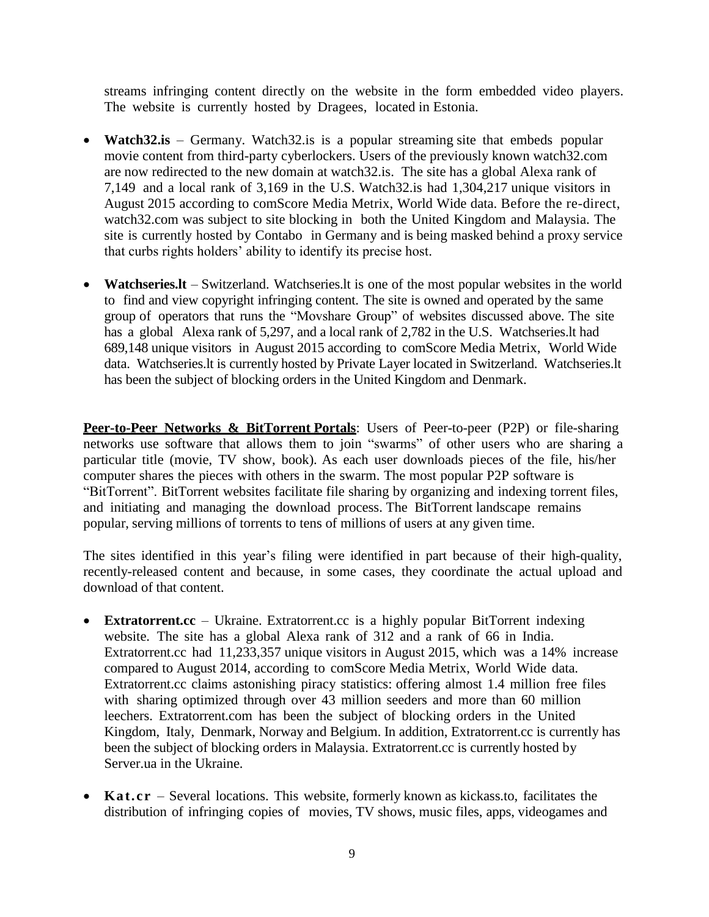streams infringing content directly on the website in the form embedded video players. The website is currently hosted by Dragees, located in Estonia.

- **Watch32.is** Germany. Watch32.is is a popular streaming site that embeds popular movie content from third-party cyberlockers. Users of the previously known watch32.com are now redirected to the new domain at watch32.is. The site has a global Alexa rank of 7,149 and a local rank of 3,169 in the U.S. Watch32.is had 1,304,217 unique visitors in August 2015 according to comScore Media Metrix, World Wide data. Before the re-direct, watch32.com was subject to site blocking in both the United Kingdom and Malaysia. The site is currently hosted by Contabo in Germany and is being masked behind a proxy service that curbs rights holders' ability to identify its precise host.
- **Watchseries.lt** Switzerland. Watchseries.lt is one of the most popular websites in the world to find and view copyright infringing content. The site is owned and operated by the same group of operators that runs the "Movshare Group" of websites discussed above. The site has a global Alexa rank of 5,297, and a local rank of 2,782 in the U.S. Watchseries.lt had 689,148 unique visitors in August 2015 according to comScore Media Metrix, World Wide data. Watchseries.lt is currently hosted by Private Layer located in Switzerland. Watchseries.lt has been the subject of blocking orders in the United Kingdom and Denmark.

**Peer-to-Peer Networks & BitTorrent Portals**: Users of Peer-to-peer (P2P) or file-sharing networks use software that allows them to join "swarms" of other users who are sharing a particular title (movie, TV show, book). As each user downloads pieces of the file, his/her computer shares the pieces with others in the swarm. The most popular P2P software is "BitTorrent". BitTorrent websites facilitate file sharing by organizing and indexing torrent files, and initiating and managing the download process. The BitTorrent landscape remains popular, serving millions of torrents to tens of millions of users at any given time.

The sites identified in this year's filing were identified in part because of their high-quality, recently-released content and because, in some cases, they coordinate the actual upload and download of that content.

- **Extratorrent.cc** Ukraine. Extratorrent.cc is a highly popular BitTorrent indexing website. The site has a global Alexa rank of 312 and a rank of 66 in India. Extratorrent.cc had 11,233,357 unique visitors in August 2015, which was a 14% increase compared to August 2014, according to comScore Media Metrix, World Wide data. Extratorrent.cc claims astonishing piracy statistics: offering almost 1.4 million free files with sharing optimized through over 43 million seeders and more than 60 million leechers. Extratorrent.com has been the subject of blocking orders in the United Kingdom, Italy, Denmark, Norway and Belgium. In addition, Extratorrent.cc is currently has been the subject of blocking orders in Malaysia. Extratorrent.cc is currently hosted by Server.ua in the Ukraine.
- **Kat.cr** Several locations. This website, formerly known as kickass.to, facilitates the distribution of infringing copies of movies, TV shows, music files, apps, videogames and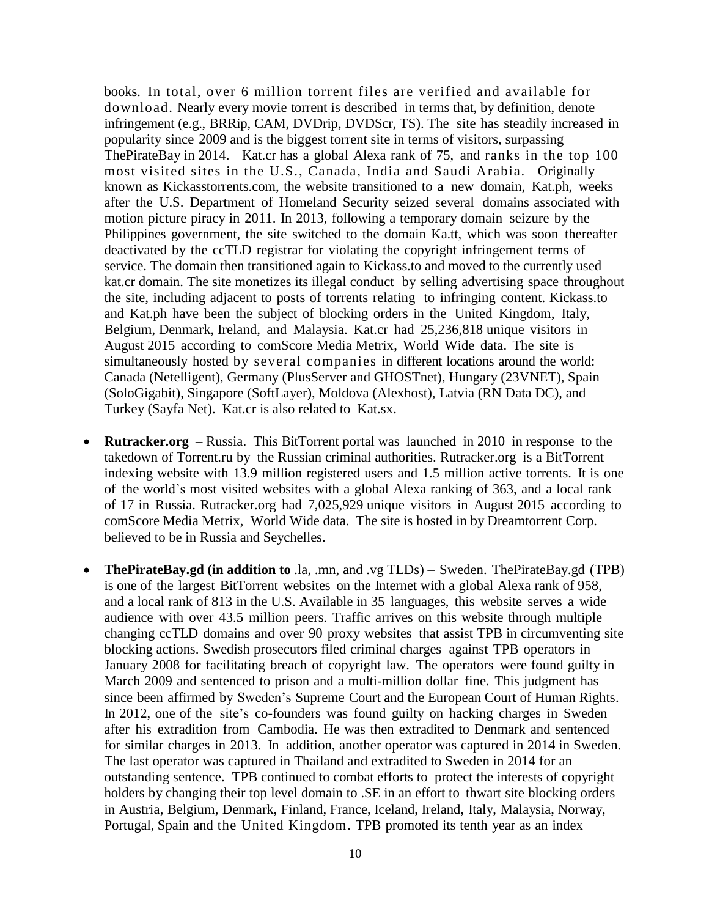books. In total, over 6 million torrent files are verified and available for download. Nearly every movie torrent is described in terms that, by definition, denote infringement (e.g., BRRip, CAM, DVDrip, DVDScr, TS). The site has steadily increased in popularity since 2009 and is the biggest torrent site in terms of visitors, surpassing ThePirateBay in 2014. Kat.cr has a global Alexa rank of 75, and ranks in the top 100 most visited sites in the U.S., Canada, India and Saudi Arabia. Originally known as Kickasstorrents.com, the website transitioned to a new domain, Kat.ph, weeks after the U.S. Department of Homeland Security seized several domains associated with motion picture piracy in 2011. In 2013, following a temporary domain seizure by the Philippines government, the site switched to the domain Ka.tt, which was soon thereafter deactivated by the ccTLD registrar for violating the copyright infringement terms of service. The domain then transitioned again to Kickass.to and moved to the currently used kat.cr domain. The site monetizes its illegal conduct by selling advertising space throughout the site, including adjacent to posts of torrents relating to infringing content. Kickass.to and Kat.ph have been the subject of blocking orders in the United Kingdom, Italy, Belgium, Denmark, Ireland, and Malaysia. Kat.cr had 25,236,818 unique visitors in August 2015 according to comScore Media Metrix, World Wide data. The site is simultaneously hosted by several companies in different locations around the world: Canada (Netelligent), Germany (PlusServer and GHOSTnet), Hungary (23VNET), Spain (SoloGigabit), Singapore (SoftLayer), Moldova (Alexhost), Latvia (RN Data DC), and Turkey (Sayfa Net). Kat.cr is also related to Kat.sx.

- **Rutracker.org** Russia. This BitTorrent portal was launched in 2010 in response to the takedown of Torrent.ru by the Russian criminal authorities. Rutracker.org is a BitTorrent indexing website with 13.9 million registered users and 1.5 million active torrents. It is one of the world's most visited websites with a global Alexa ranking of 363, and a local rank of 17 in Russia. Rutracker.org had 7,025,929 unique visitors in August 2015 according to comScore Media Metrix, World Wide data. The site is hosted in by Dreamtorrent Corp. believed to be in Russia and Seychelles.
- **ThePirateBay.gd (in addition to** .la, .mn, and .vg TLDs) Sweden. ThePirateBay.gd (TPB) is one of the largest BitTorrent websites on the Internet with a global Alexa rank of 958, and a local rank of 813 in the U.S. Available in 35 languages, this website serves a wide audience with over 43.5 million peers. Traffic arrives on this website through multiple changing ccTLD domains and over 90 proxy websites that assist TPB in circumventing site blocking actions. Swedish prosecutors filed criminal charges against TPB operators in January 2008 for facilitating breach of copyright law. The operators were found guilty in March 2009 and sentenced to prison and a multi-million dollar fine. This judgment has since been affirmed by Sweden's Supreme Court and the European Court of Human Rights. In 2012, one of the site's co-founders was found guilty on hacking charges in Sweden after his extradition from Cambodia. He was then extradited to Denmark and sentenced for similar charges in 2013. In addition, another operator was captured in 2014 in Sweden. The last operator was captured in Thailand and extradited to Sweden in 2014 for an outstanding sentence. TPB continued to combat efforts to protect the interests of copyright holders by changing their top level domain to .SE in an effort to thwart site blocking orders in Austria, Belgium, Denmark, Finland, France, Iceland, Ireland, Italy, Malaysia, Norway, Portugal, Spain and the United Kingdom. TPB promoted its tenth year as an index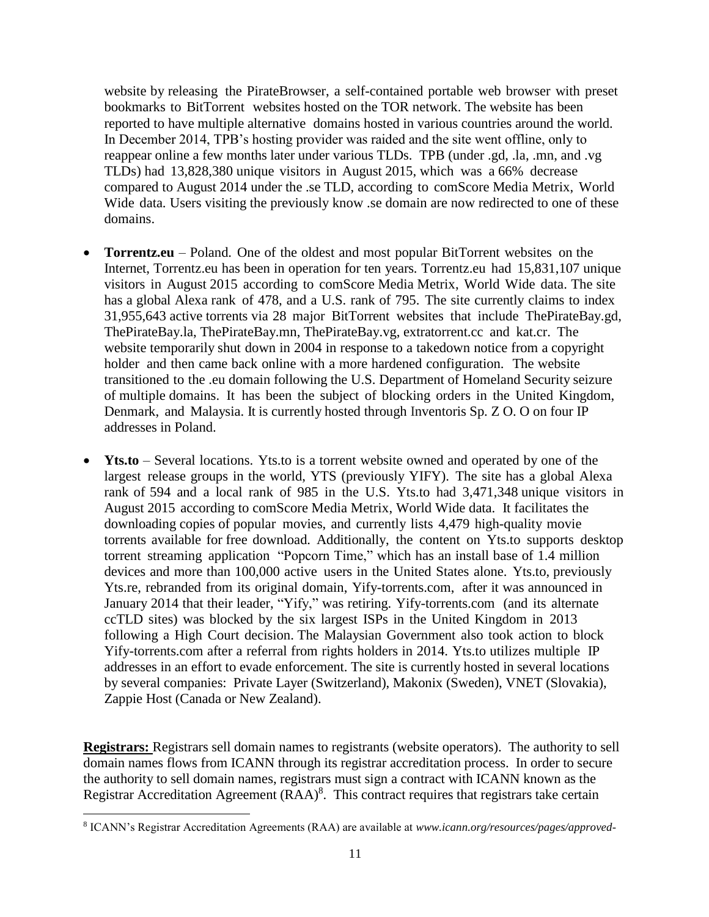website by releasing the PirateBrowser, a self-contained portable web browser with preset bookmarks to BitTorrent websites hosted on the TOR network. The website has been reported to have multiple alternative domains hosted in various countries around the world. In December 2014, TPB's hosting provider was raided and the site went offline, only to reappear online a few months later under various TLDs. TPB (under .gd, .la, .mn, and .vg TLDs) had 13,828,380 unique visitors in August 2015, which was a 66% decrease compared to August 2014 under the .se TLD, according to comScore Media Metrix, World Wide data. Users visiting the previously know .se domain are now redirected to one of these domains.

- **Torrentz.eu** Poland. One of the oldest and most popular BitTorrent websites on the Internet, Torrentz.eu has been in operation for ten years. Torrentz.eu had 15,831,107 unique visitors in August 2015 according to comScore Media Metrix, World Wide data. The site has a global Alexa rank of 478, and a U.S. rank of 795. The site currently claims to index 31,955,643 active torrents via 28 major BitTorrent websites that include ThePirateBay.gd, ThePirateBay.la, ThePirateBay.mn, ThePirateBay.vg, extratorrent.cc and kat.cr. The website temporarily shut down in 2004 in response to a takedown notice from a copyright holder and then came back online with a more hardened configuration. The website transitioned to the .eu domain following the U.S. Department of Homeland Security seizure of multiple domains. It has been the subject of blocking orders in the United Kingdom, Denmark, and Malaysia. It is currently hosted through Inventoris Sp. Z O. O on four IP addresses in Poland.
- **Yts.to** Several locations. Yts.to is a torrent website owned and operated by one of the largest release groups in the world, YTS (previously YIFY). The site has a global Alexa rank of 594 and a local rank of 985 in the U.S. Yts.to had 3,471,348 unique visitors in August 2015 according to comScore Media Metrix, World Wide data. It facilitates the downloading copies of popular movies, and currently lists 4,479 high-quality movie torrents available for free download. Additionally, the content on Yts.to supports desktop torrent streaming application "Popcorn Time," which has an install base of 1.4 million devices and more than 100,000 active users in the United States alone. Yts.to, previously Yts.re, rebranded from its original domain, Yify-torrents.com, after it was announced in January 2014 that their leader, "Yify," was retiring. Yify-torrents.com (and its alternate ccTLD sites) was blocked by the six largest ISPs in the United Kingdom in 2013 following a High Court decision. The Malaysian Government also took action to block Yify-torrents.com after a referral from rights holders in 2014. Yts.to utilizes multiple IP addresses in an effort to evade enforcement. The site is currently hosted in several locations by several companies: Private Layer (Switzerland), Makonix (Sweden), VNET (Slovakia), Zappie Host (Canada or New Zealand).

**Registrars:** Registrars sell domain names to registrants (website operators). The authority to sell domain names flows from ICANN through its registrar accreditation process. In order to secure the authority to sell domain names, registrars must sign a contract with ICANN known as the Registrar Accreditation Agreement  $(RAA)^8$ . This contract requires that registrars take certain

 $\overline{\phantom{a}}$ 

<sup>8</sup> ICANN's Registrar Accreditation Agreements (RAA) are available at *www.icann.org/resources/pages/approved-*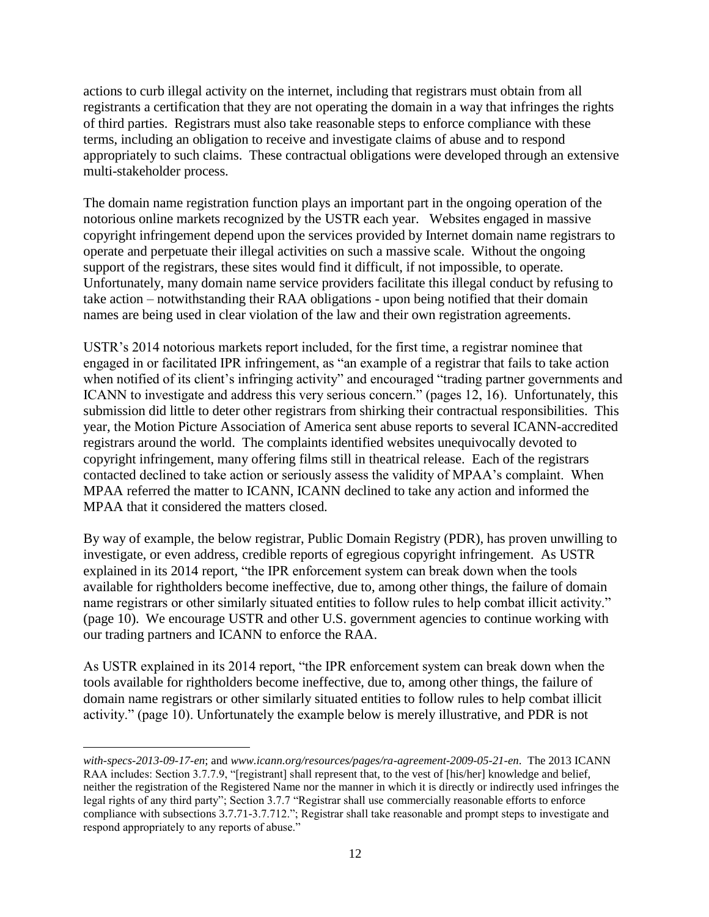actions to curb illegal activity on the internet, including that registrars must obtain from all registrants a certification that they are not operating the domain in a way that infringes the rights of third parties. Registrars must also take reasonable steps to enforce compliance with these terms, including an obligation to receive and investigate claims of abuse and to respond appropriately to such claims. These contractual obligations were developed through an extensive multi-stakeholder process.

The domain name registration function plays an important part in the ongoing operation of the notorious online markets recognized by the USTR each year. Websites engaged in massive copyright infringement depend upon the services provided by Internet domain name registrars to operate and perpetuate their illegal activities on such a massive scale. Without the ongoing support of the registrars, these sites would find it difficult, if not impossible, to operate. Unfortunately, many domain name service providers facilitate this illegal conduct by refusing to take action – notwithstanding their RAA obligations - upon being notified that their domain names are being used in clear violation of the law and their own registration agreements.

USTR's 2014 notorious markets report included, for the first time, a registrar nominee that engaged in or facilitated IPR infringement, as "an example of a registrar that fails to take action when notified of its client's infringing activity" and encouraged "trading partner governments and ICANN to investigate and address this very serious concern." (pages 12, 16). Unfortunately, this submission did little to deter other registrars from shirking their contractual responsibilities. This year, the Motion Picture Association of America sent abuse reports to several ICANN-accredited registrars around the world. The complaints identified websites unequivocally devoted to copyright infringement, many offering films still in theatrical release. Each of the registrars contacted declined to take action or seriously assess the validity of MPAA's complaint. When MPAA referred the matter to ICANN, ICANN declined to take any action and informed the MPAA that it considered the matters closed.

By way of example, the below registrar, Public Domain Registry (PDR), has proven unwilling to investigate, or even address, credible reports of egregious copyright infringement. As USTR explained in its 2014 report, "the IPR enforcement system can break down when the tools available for rightholders become ineffective, due to, among other things, the failure of domain name registrars or other similarly situated entities to follow rules to help combat illicit activity." (page 10). We encourage USTR and other U.S. government agencies to continue working with our trading partners and ICANN to enforce the RAA.

As USTR explained in its 2014 report, "the IPR enforcement system can break down when the tools available for rightholders become ineffective, due to, among other things, the failure of domain name registrars or other similarly situated entities to follow rules to help combat illicit activity." (page 10). Unfortunately the example below is merely illustrative, and PDR is not

l

*with-specs-2013-09-17-en*; and *www.icann.org/resources/pages/ra-agreement-2009-05-21-en*. The 2013 ICANN RAA includes: Section 3.7.7.9, "[registrant] shall represent that, to the vest of [his/her] knowledge and belief, neither the registration of the Registered Name nor the manner in which it is directly or indirectly used infringes the legal rights of any third party"; Section 3.7.7 "Registrar shall use commercially reasonable efforts to enforce compliance with subsections 3.7.71-3.7.712."; Registrar shall take reasonable and prompt steps to investigate and respond appropriately to any reports of abuse."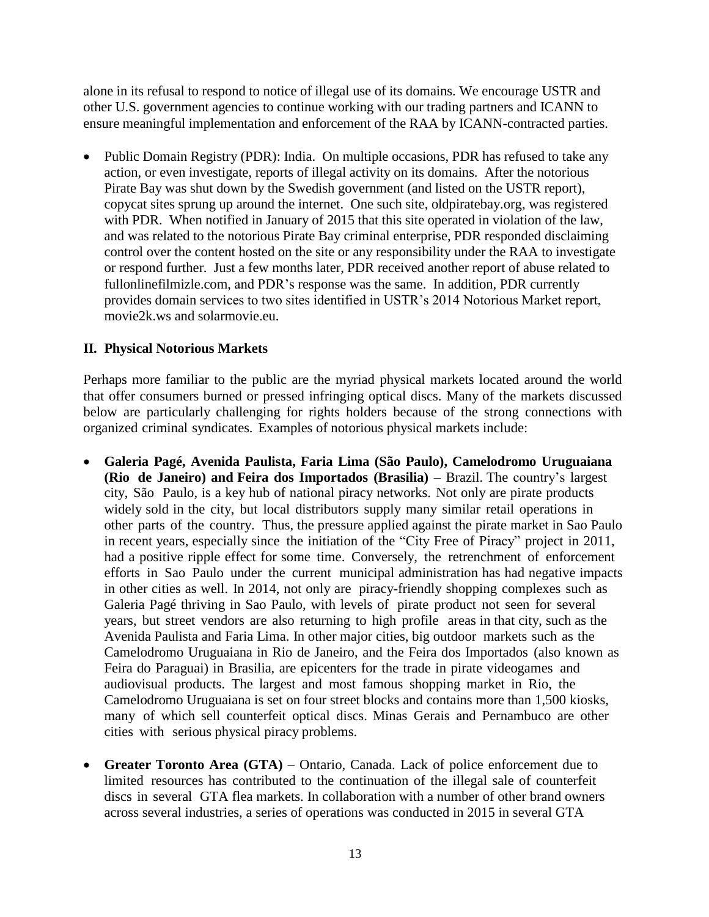alone in its refusal to respond to notice of illegal use of its domains. We encourage USTR and other U.S. government agencies to continue working with our trading partners and ICANN to ensure meaningful implementation and enforcement of the RAA by ICANN-contracted parties.

 Public Domain Registry (PDR): India. On multiple occasions, PDR has refused to take any action, or even investigate, reports of illegal activity on its domains. After the notorious Pirate Bay was shut down by the Swedish government (and listed on the USTR report), copycat sites sprung up around the internet. One such site, oldpiratebay.org, was registered with PDR. When notified in January of 2015 that this site operated in violation of the law, and was related to the notorious Pirate Bay criminal enterprise, PDR responded disclaiming control over the content hosted on the site or any responsibility under the RAA to investigate or respond further. Just a few months later, PDR received another report of abuse related to fullonlinefilmizle.com, and PDR's response was the same. In addition, PDR currently provides domain services to two sites identified in USTR's 2014 Notorious Market report, movie2k.ws and solarmovie.eu.

## **II. Physical Notorious Markets**

Perhaps more familiar to the public are the myriad physical markets located around the world that offer consumers burned or pressed infringing optical discs. Many of the markets discussed below are particularly challenging for rights holders because of the strong connections with organized criminal syndicates. Examples of notorious physical markets include:

- **Galeria Pagé, Avenida Paulista, Faria Lima (São Paulo), Camelodromo Uruguaiana (Rio de Janeiro) and Feira dos Importados (Brasilia)** – Brazil. The country's largest city, São Paulo, is a key hub of national piracy networks. Not only are pirate products widely sold in the city, but local distributors supply many similar retail operations in other parts of the country. Thus, the pressure applied against the pirate market in Sao Paulo in recent years, especially since the initiation of the "City Free of Piracy" project in 2011, had a positive ripple effect for some time. Conversely, the retrenchment of enforcement efforts in Sao Paulo under the current municipal administration has had negative impacts in other cities as well. In 2014, not only are piracy-friendly shopping complexes such as Galeria Pagé thriving in Sao Paulo, with levels of pirate product not seen for several years, but street vendors are also returning to high profile areas in that city, such as the Avenida Paulista and Faria Lima. In other major cities, big outdoor markets such as the Camelodromo Uruguaiana in Rio de Janeiro, and the Feira dos Importados (also known as Feira do Paraguai) in Brasilia, are epicenters for the trade in pirate videogames and audiovisual products. The largest and most famous shopping market in Rio, the Camelodromo Uruguaiana is set on four street blocks and contains more than 1,500 kiosks, many of which sell counterfeit optical discs. Minas Gerais and Pernambuco are other cities with serious physical piracy problems.
- **Greater Toronto Area (GTA)** Ontario, Canada. Lack of police enforcement due to limited resources has contributed to the continuation of the illegal sale of counterfeit discs in several GTA flea markets. In collaboration with a number of other brand owners across several industries, a series of operations was conducted in 2015 in several GTA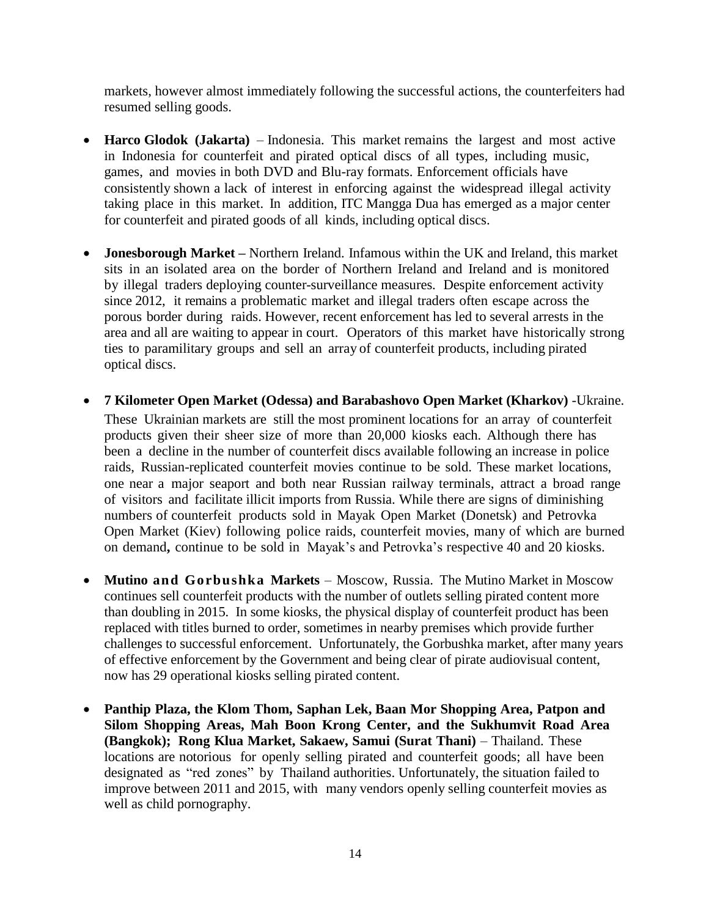markets, however almost immediately following the successful actions, the counterfeiters had resumed selling goods.

- **Harco Glodok (Jakarta)** Indonesia. This market remains the largest and most active in Indonesia for counterfeit and pirated optical discs of all types, including music, games, and movies in both DVD and Blu-ray formats. Enforcement officials have consistently shown a lack of interest in enforcing against the widespread illegal activity taking place in this market. In addition, ITC Mangga Dua has emerged as a major center for counterfeit and pirated goods of all kinds, including optical discs.
- **Jonesborough Market –** Northern Ireland. Infamous within the UK and Ireland, this market sits in an isolated area on the border of Northern Ireland and Ireland and is monitored by illegal traders deploying counter-surveillance measures. Despite enforcement activity since 2012, it remains a problematic market and illegal traders often escape across the porous border during raids. However, recent enforcement has led to several arrests in the area and all are waiting to appear in court. Operators of this market have historically strong ties to paramilitary groups and sell an array of counterfeit products, including pirated optical discs.
- **7 Kilometer Open Market (Odessa) and Barabashovo Open Market (Kharkov)** -Ukraine. These Ukrainian markets are still the most prominent locations for an array of counterfeit products given their sheer size of more than 20,000 kiosks each. Although there has been a decline in the number of counterfeit discs available following an increase in police raids, Russian-replicated counterfeit movies continue to be sold. These market locations, one near a major seaport and both near Russian railway terminals, attract a broad range of visitors and facilitate illicit imports from Russia. While there are signs of diminishing numbers of counterfeit products sold in Mayak Open Market (Donetsk) and Petrovka Open Market (Kiev) following police raids, counterfeit movies, many of which are burned on demand**,** continue to be sold in Mayak's and Petrovka's respective 40 and 20 kiosks.
- **Mutino and Gorbushka Markets** Moscow, Russia. The Mutino Market in Moscow continues sell counterfeit products with the number of outlets selling pirated content more than doubling in 2015. In some kiosks, the physical display of counterfeit product has been replaced with titles burned to order, sometimes in nearby premises which provide further challenges to successful enforcement. Unfortunately, the Gorbushka market, after many years of effective enforcement by the Government and being clear of pirate audiovisual content, now has 29 operational kiosks selling pirated content.
- **Panthip Plaza, the Klom Thom, Saphan Lek, Baan Mor Shopping Area, Patpon and Silom Shopping Areas, Mah Boon Krong Center, and the Sukhumvit Road Area (Bangkok); Rong Klua Market, Sakaew, Samui (Surat Thani)** – Thailand. These locations are notorious for openly selling pirated and counterfeit goods; all have been designated as "red zones" by Thailand authorities. Unfortunately, the situation failed to improve between 2011 and 2015, with many vendors openly selling counterfeit movies as well as child pornography.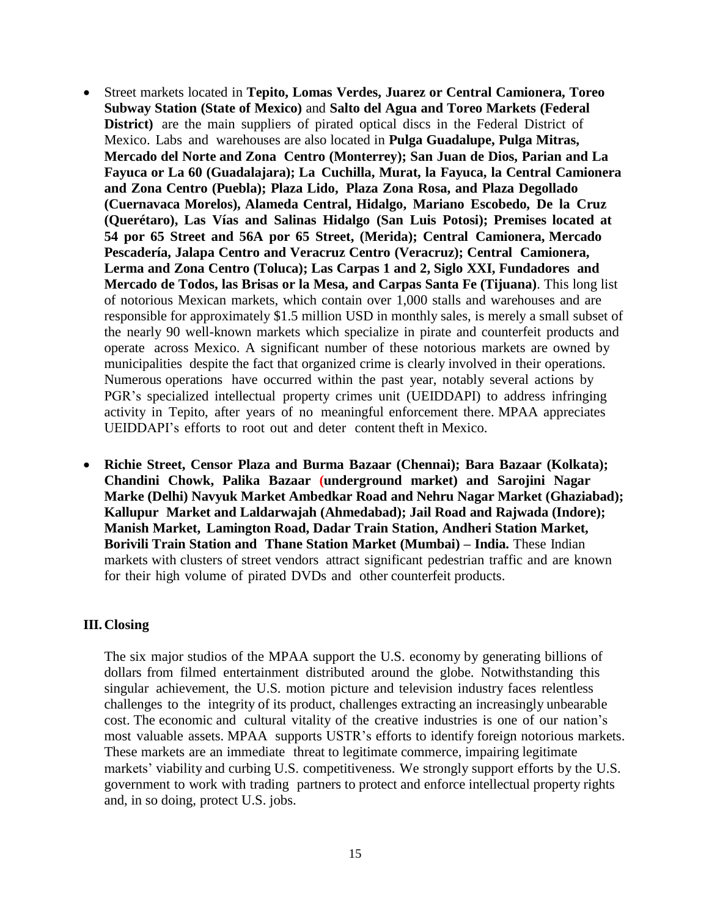- Street markets located in **Tepito, Lomas Verdes, Juarez or Central Camionera, Toreo Subway Station (State of Mexico)** and **Salto del Agua and Toreo Markets (Federal District)** are the main suppliers of pirated optical discs in the Federal District of Mexico. Labs and warehouses are also located in **Pulga Guadalupe, Pulga Mitras, Mercado del Norte and Zona Centro (Monterrey); San Juan de Dios, Parian and La Fayuca or La 60 (Guadalajara); La Cuchilla, Murat, la Fayuca, la Central Camionera and Zona Centro (Puebla); Plaza Lido, Plaza Zona Rosa, and Plaza Degollado (Cuernavaca Morelos), Alameda Central, Hidalgo, Mariano Escobedo, De la Cruz (Querétaro), Las Vías and Salinas Hidalgo (San Luis Potosi); Premises located at 54 por 65 Street and 56A por 65 Street, (Merida); Central Camionera, Mercado Pescadería, Jalapa Centro and Veracruz Centro (Veracruz); Central Camionera, Lerma and Zona Centro (Toluca); Las Carpas 1 and 2, Siglo XXI, Fundadores and Mercado de Todos, las Brisas or la Mesa, and Carpas Santa Fe (Tijuana)**. This long list of notorious Mexican markets, which contain over 1,000 stalls and warehouses and are responsible for approximately \$1.5 million USD in monthly sales, is merely a small subset of the nearly 90 well-known markets which specialize in pirate and counterfeit products and operate across Mexico. A significant number of these notorious markets are owned by municipalities despite the fact that organized crime is clearly involved in their operations. Numerous operations have occurred within the past year, notably several actions by PGR's specialized intellectual property crimes unit (UEIDDAPI) to address infringing activity in Tepito, after years of no meaningful enforcement there. MPAA appreciates UEIDDAPI's efforts to root out and deter content theft in Mexico.
- **Richie Street, Censor Plaza and Burma Bazaar (Chennai); Bara Bazaar (Kolkata); Chandini Chowk, Palika Bazaar (underground market) and Sarojini Nagar Marke (Delhi) Navyuk Market Ambedkar Road and Nehru Nagar Market (Ghaziabad); Kallupur Market and Laldarwajah (Ahmedabad); Jail Road and Rajwada (Indore); Manish Market, Lamington Road, Dadar Train Station, Andheri Station Market, Borivili Train Station and Thane Station Market (Mumbai) – India.** These Indian markets with clusters of street vendors attract significant pedestrian traffic and are known for their high volume of pirated DVDs and other counterfeit products.

## **III.Closing**

The six major studios of the MPAA support the U.S. economy by generating billions of dollars from filmed entertainment distributed around the globe. Notwithstanding this singular achievement, the U.S. motion picture and television industry faces relentless challenges to the integrity of its product, challenges extracting an increasingly unbearable cost. The economic and cultural vitality of the creative industries is one of our nation's most valuable assets. MPAA supports USTR's efforts to identify foreign notorious markets. These markets are an immediate threat to legitimate commerce, impairing legitimate markets' viability and curbing U.S. competitiveness. We strongly support efforts by the U.S. government to work with trading partners to protect and enforce intellectual property rights and, in so doing, protect U.S. jobs.